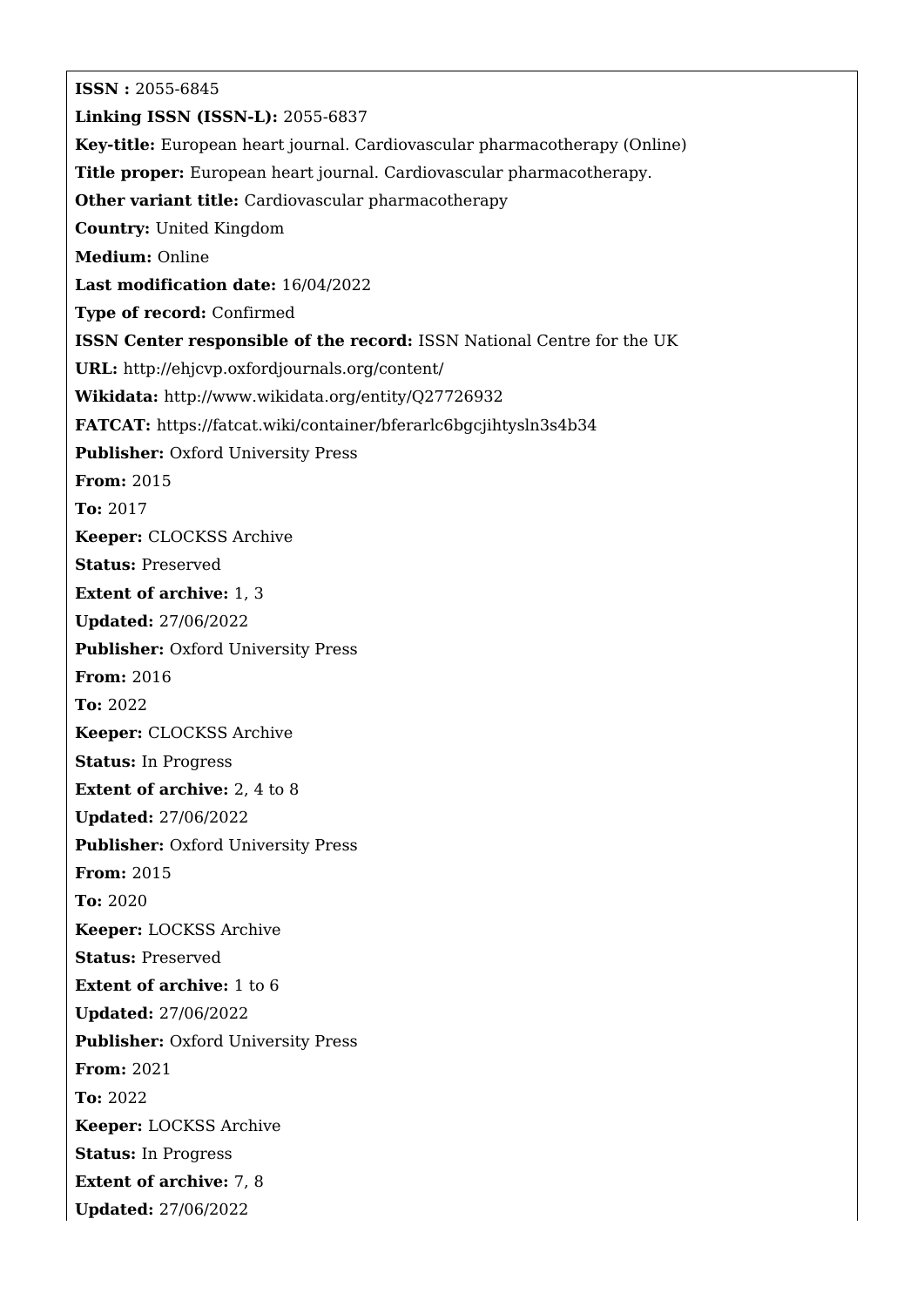**ISSN :** 2055-6845 **Linking ISSN (ISSN-L):** 2055-6837 **Key-title:** European heart journal. Cardiovascular pharmacotherapy (Online) **Title proper:** European heart journal. Cardiovascular pharmacotherapy. **Other variant title:** Cardiovascular pharmacotherapy **Country:** United Kingdom **Medium:** Online **Last modification date:** 16/04/2022 **Type of record:** Confirmed **ISSN Center responsible of the record:** ISSN National Centre for the UK **URL:** <http://ehjcvp.oxfordjournals.org/content/> **Wikidata:** <http://www.wikidata.org/entity/Q27726932> **FATCAT:** <https://fatcat.wiki/container/bferarlc6bgcjihtysln3s4b34> **Publisher: Oxford University Press From:** 2015 **To:** 2017 **Keeper:** CLOCKSS Archive **Status:** Preserved **Extent of archive:** 1, 3 **Updated:** 27/06/2022 **Publisher: Oxford University Press From:** 2016 **To:** 2022 **Keeper:** CLOCKSS Archive **Status:** In Progress **Extent of archive:** 2, 4 to 8 **Updated:** 27/06/2022 **Publisher: Oxford University Press From:** 2015 **To:** 2020 **Keeper:** LOCKSS Archive **Status:** Preserved **Extent of archive:** 1 to 6 **Updated:** 27/06/2022 **Publisher: Oxford University Press From:** 2021 **To:** 2022 **Keeper:** LOCKSS Archive **Status:** In Progress **Extent of archive:** 7, 8 **Updated:** 27/06/2022